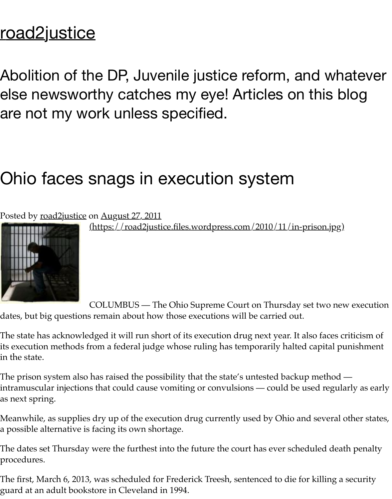Abolition of the DP, Juvenile justice reform, and w [else newswort](https://road2justice.wordpress.com/)hy catches my eye! Articles on this are not my work unless specified.

## Ohio faces snags in execution system

## Posted by road2justice on August 27, 2011

(https://road2justice.files.wordpress.com/2010/11/in-prison.jpg)



COLUMBUS — The Ohio Supreme Court on Thursday set two dates, but big questions remain about how those executions will be carried out.

The state has acknowledged it will run short of its execution drug next year. It also face its execution methods from a federal judge whose ruling has temporarily halted capital in the state.

The prison system also has raised the possibility that the state's untested backup metho intramuscular injections that could cause vomiting or convulsions — could be used reg as next spring.

Meanwhile, as supplies dry up of the execution drug currently used by Ohio and sever a possible alternative is facing its own shortage.

The dates set Thursday were the furthest into the future the court has ever scheduled  $\vec{\textit{c}}$ procedures.

The first, March 6, 2013, was scheduled for Frederick Treesh, sentenced to die for killing guard at an adult bookstore in Cleveland in 1994.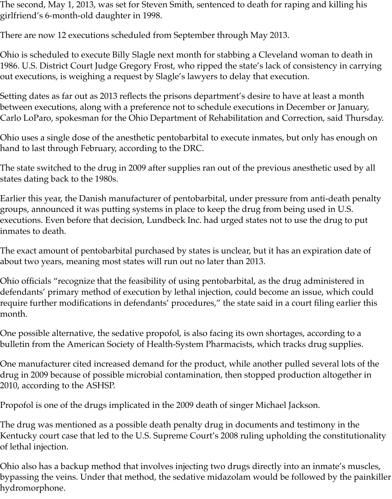The second, May 1, 2013, was set for Steven Smith, sentenced to death for raping and killing his girlfriend's 6-month-old daughter in 1998.

There are now 12 executions scheduled from September through May 2013.

Ohio is scheduled to execute Billy Slagle next month for stabbing a Cleveland woman to death in 1986. U.S. District Court Judge Gregory Frost, who ripped the state's lack of consistency in carrying out executions, is weighing a request by Slagle's lawyers to delay that execution.

Setting dates as far out as 2013 reflects the prisons department's desire to have at least a month between executions, along with a preference not to schedule executions in December or January, Carlo LoParo, spokesman for the Ohio Department of Rehabilitation and Correction, said Thursday.

Ohio uses a single dose of the anesthetic pentobarbital to execute inmates, but only has enough on hand to last through February, according to the DRC.

The state switched to the drug in 2009 after supplies ran out of the previous anesthetic used by all states dating back to the 1980s.

Earlier this year, the Danish manufacturer of pentobarbital, under pressure from anti-death penalty groups, announced it was putting systems in place to keep the drug from being used in U.S. executions. Even before that decision, Lundbeck Inc. had urged states not to use the drug to put inmates to death.

The exact amount of pentobarbital purchased by states is unclear, but it has an expiration date of about two years, meaning most states will run out no later than 2013.

Ohio officials "recognize that the feasibility of using pentobarbital, as the drug administered in defendants' primary method of execution by lethal injection, could become an issue, which could require further modifications in defendants' procedures," the state said in a court filing earlier this month.

One possible alternative, the sedative propofol, is also facing its own shortages, according to a bulletin from the American Society of Health-System Pharmacists, which tracks drug supplies.

One manufacturer cited increased demand for the product, while another pulled several lots of the drug in 2009 because of possible microbial contamination, then stopped production altogether in 2010, according to the ASHSP.

Propofol is one of the drugs implicated in the 2009 death of singer Michael Jackson.

The drug was mentioned as a possible death penalty drug in documents and testimony in the Kentucky court case that led to the U.S. Supreme Court's 2008 ruling upholding the constitutionality of lethal injection.

Ohio also has a backup method that involves injecting two drugs directly into an inmate's muscles, bypassing the veins. Under that method, the sedative midazolam would be followed by the painkiller hydromorphone.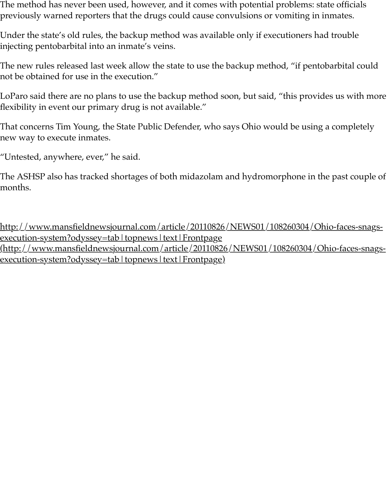The new rules released last week allow the state to use the backup method, "if pentobarbital could not be obtained for use in the execution."

LoParo said there are no plans to use the backup method soon, but said, "this provides flexibility in event our primary drug is not available."

That concerns Tim Young, the State Public Defender, who says Ohio would be using a new way to execute inmates.

"Untested, anywhere, ever," he said.

The ASHSP also has tracked shortages of both midazolam and hydromorphone in the past couple  $p$ months.

http://www.mansfieldnewsjournal.com/article/20110826/NEWS01/108260304/Ohio-faces-snags-<u>execution-system?odyssey=tab | topnews | text | Frontpage</u> <u>(http://www.mansfieldnewsjournal.com/article/20110826/NEWS01/108260304/Ohi</u> <u>execution-system?odyssey=tab | topnews | text | Frontpage)</u>